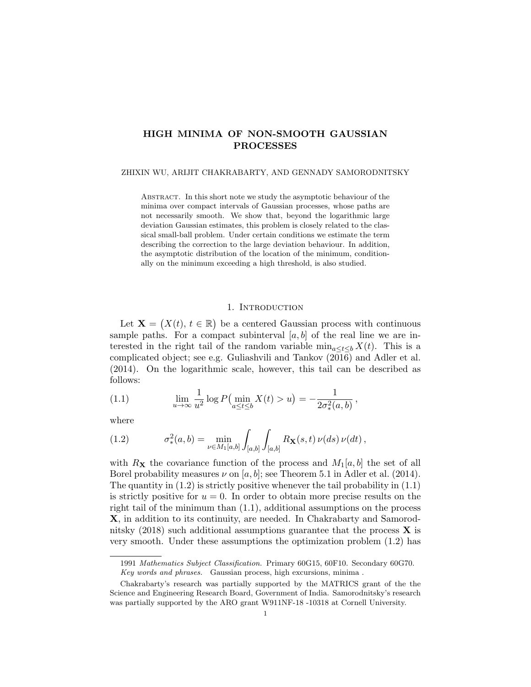# HIGH MINIMA OF NON-SMOOTH GAUSSIAN PROCESSES

ZHIXIN WU, ARIJIT CHAKRABARTY, AND GENNADY SAMORODNITSKY

Abstract. In this short note we study the asymptotic behaviour of the minima over compact intervals of Gaussian processes, whose paths are not necessarily smooth. We show that, beyond the logarithmic large deviation Gaussian estimates, this problem is closely related to the classical small-ball problem. Under certain conditions we estimate the term describing the correction to the large deviation behaviour. In addition, the asymptotic distribution of the location of the minimum, conditionally on the minimum exceeding a high threshold, is also studied.

# 1. INTRODUCTION

Let  $\mathbf{X} = (X(t), t \in \mathbb{R})$  be a centered Gaussian process with continuous sample paths. For a compact subinterval  $[a, b]$  of the real line we are interested in the right tail of the random variable  $\min_{a \leq t \leq b} X(t)$ . This is a complicated object; see e.g. Guliashvili and Tankov (2016) and Adler et al. (2014). On the logarithmic scale, however, this tail can be described as follows:

(1.1) 
$$
\lim_{u \to \infty} \frac{1}{u^2} \log P(\min_{a \le t \le b} X(t) > u) = -\frac{1}{2\sigma_*^2(a, b)},
$$

where

(1.2) 
$$
\sigma_*^2(a,b) = \min_{\nu \in M_1[a,b]} \int_{[a,b]} \int_{[a,b]} R_{\mathbf{X}}(s,t) \, \nu(ds) \, \nu(dt),
$$

with  $R_{\mathbf{X}}$  the covariance function of the process and  $M_1[a, b]$  the set of all Borel probability measures  $\nu$  on [a, b]; see Theorem 5.1 in Adler et al. (2014). The quantity in  $(1.2)$  is strictly positive whenever the tail probability in  $(1.1)$ is strictly positive for  $u = 0$ . In order to obtain more precise results on the right tail of the minimum than  $(1.1)$ , additional assumptions on the process X, in addition to its continuity, are needed. In Chakrabarty and Samorodnitsky  $(2018)$  such additional assumptions guarantee that the process **X** is very smooth. Under these assumptions the optimization problem (1.2) has

<sup>1991</sup> Mathematics Subject Classification. Primary 60G15, 60F10. Secondary 60G70. Key words and phrases. Gaussian process, high excursions, minima .

Chakrabarty's research was partially supported by the MATRICS grant of the the Science and Engineering Research Board, Government of India. Samorodnitsky's research was partially supported by the ARO grant W911NF-18 -10318 at Cornell University.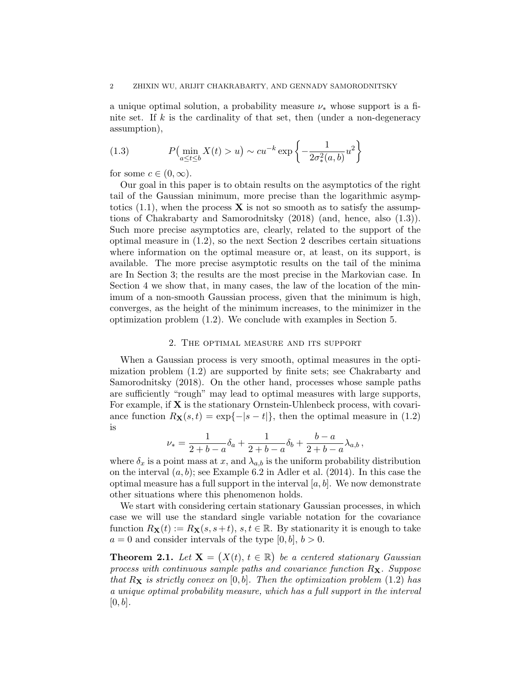a unique optimal solution, a probability measure  $\nu_*$  whose support is a finite set. If  $k$  is the cardinality of that set, then (under a non-degeneracy assumption),

(1.3) 
$$
P(\min_{a \le t \le b} X(t) > u) \sim c u^{-k} \exp\left\{-\frac{1}{2\sigma_*^2(a,b)}u^2\right\}
$$

for some  $c \in (0, \infty)$ .

Our goal in this paper is to obtain results on the asymptotics of the right tail of the Gaussian minimum, more precise than the logarithmic asymptotics  $(1.1)$ , when the process **X** is not so smooth as to satisfy the assumptions of Chakrabarty and Samorodnitsky (2018) (and, hence, also (1.3)). Such more precise asymptotics are, clearly, related to the support of the optimal measure in (1.2), so the next Section 2 describes certain situations where information on the optimal measure or, at least, on its support, is available. The more precise asymptotic results on the tail of the minima are In Section 3; the results are the most precise in the Markovian case. In Section 4 we show that, in many cases, the law of the location of the minimum of a non-smooth Gaussian process, given that the minimum is high, converges, as the height of the minimum increases, to the minimizer in the optimization problem (1.2). We conclude with examples in Section 5.

#### 2. The optimal measure and its support

When a Gaussian process is very smooth, optimal measures in the optimization problem (1.2) are supported by finite sets; see Chakrabarty and Samorodnitsky (2018). On the other hand, processes whose sample paths are sufficiently "rough" may lead to optimal measures with large supports, For example, if  $X$  is the stationary Ornstein-Uhlenbeck process, with covariance function  $R_{\mathbf{X}}(s,t) = \exp\{-|s-t|\}$ , then the optimal measure in (1.2) is

$$
\nu_* = \frac{1}{2+b-a} \delta_a + \frac{1}{2+b-a} \delta_b + \frac{b-a}{2+b-a} \lambda_{a,b},
$$

where  $\delta_x$  is a point mass at x, and  $\lambda_{a,b}$  is the uniform probability distribution on the interval  $(a, b)$ ; see Example 6.2 in Adler et al. (2014). In this case the optimal measure has a full support in the interval  $[a, b]$ . We now demonstrate other situations where this phenomenon holds.

We start with considering certain stationary Gaussian processes, in which case we will use the standard single variable notation for the covariance function  $R_{\mathbf{X}}(t) := R_{\mathbf{X}}(s, s+t), s, t \in \mathbb{R}$ . By stationarity it is enough to take  $a = 0$  and consider intervals of the type  $[0, b], b > 0$ .

**Theorem 2.1.** Let  $X = (X(t), t \in \mathbb{R})$  be a centered stationary Gaussian process with continuous sample paths and covariance function  $R_{\mathbf{X}}$ . Suppose that  $R_{\mathbf{X}}$  is strictly convex on [0, b]. Then the optimization problem (1.2) has a unique optimal probability measure, which has a full support in the interval  $[0, b]$ .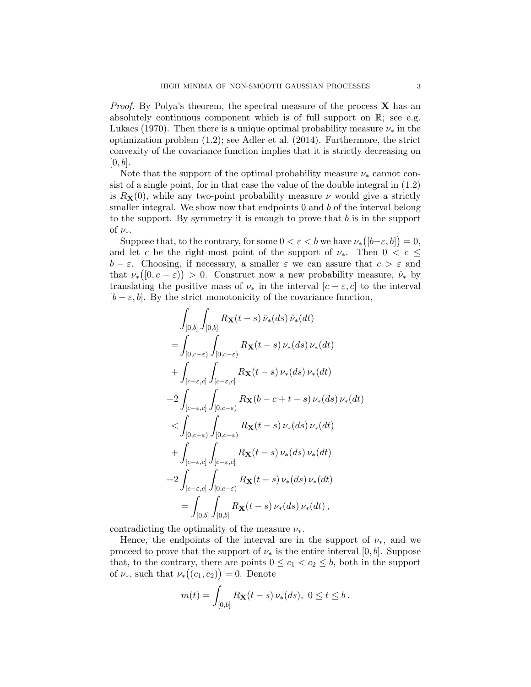*Proof.* By Polya's theorem, the spectral measure of the process  $\bf{X}$  has an absolutely continuous component which is of full support on  $\mathbb{R}$ ; see e.g. Lukacs (1970). Then there is a unique optimal probability measure  $\nu_*$  in the optimization problem (1.2); see Adler et al. (2014). Furthermore, the strict convexity of the covariance function implies that it is strictly decreasing on  $[0, b]$ .

Note that the support of the optimal probability measure  $\nu_*$  cannot consist of a single point, for in that case the value of the double integral in (1.2) is  $R_{\mathbf{X}}(0)$ , while any two-point probability measure  $\nu$  would give a strictly smaller integral. We show now that endpoints  $0$  and  $b$  of the interval belong to the support. By symmetry it is enough to prove that  $b$  is in the support of  $\nu_{*}$ .

Suppose that, to the contrary, for some  $0 < \varepsilon < b$  we have  $\nu_*([b-\varepsilon,b]) = 0$ , and let c be the right-most point of the support of  $\nu_{*}$ . Then  $0 < c \leq$  $b - \varepsilon$ . Choosing, if necessary, a smaller  $\varepsilon$  we can assure that  $c > \varepsilon$  and that  $\nu_*([0, c - \varepsilon)) > 0$ . Construct now a new probability measure,  $\hat{\nu}_*$  by translating the positive mass of  $\nu_*$  in the interval  $[c - \varepsilon, c]$  to the interval  $[b - \varepsilon, b]$ . By the strict monotonicity of the covariance function,

$$
\int_{[0,b]} \int_{[0,b]} R_{\mathbf{X}}(t-s) \hat{\nu}_{*}(ds) \hat{\nu}_{*}(dt) \n= \int_{[0,c-\varepsilon)} \int_{[0,c-\varepsilon)} R_{\mathbf{X}}(t-s) \nu_{*}(ds) \nu_{*}(dt) \n+ \int_{[c-\varepsilon,c]} \int_{[c-\varepsilon,c]} R_{\mathbf{X}}(t-s) \nu_{*}(ds) \nu_{*}(dt) \n+ 2 \int_{[c-\varepsilon,c]} \int_{[0,c-\varepsilon)} R_{\mathbf{X}}(b-c+t-s) \nu_{*}(ds) \nu_{*}(dt) \n< \int_{[0,c-\varepsilon)} \int_{[0,c-\varepsilon)} R_{\mathbf{X}}(t-s) \nu_{*}(ds) \nu_{*}(dt) \n+ \int_{[c-\varepsilon,c]} \int_{[c-\varepsilon,c]} R_{\mathbf{X}}(t-s) \nu_{*}(ds) \nu_{*}(dt) \n+ 2 \int_{[c-\varepsilon,c]} \int_{[0,c-\varepsilon)} R_{\mathbf{X}}(t-s) \nu_{*}(ds) \nu_{*}(dt) \n= \int_{[0,b]} \int_{[0,b]} R_{\mathbf{X}}(t-s) \nu_{*}(ds) \nu_{*}(dt),
$$

contradicting the optimality of the measure  $\nu_*$ .

Hence, the endpoints of the interval are in the support of  $\nu_{*}$ , and we proceed to prove that the support of  $\nu_*$  is the entire interval [0, b]. Suppose that, to the contrary, there are points  $0 \leq c_1 < c_2 \leq b$ , both in the support of  $\nu_*,$  such that  $\nu_*(c_1, c_2) = 0.$  Denote

$$
m(t) = \int_{[0,b]} R_{\mathbf{X}}(t-s) \, \nu_*(ds), \ 0 \le t \le b \, .
$$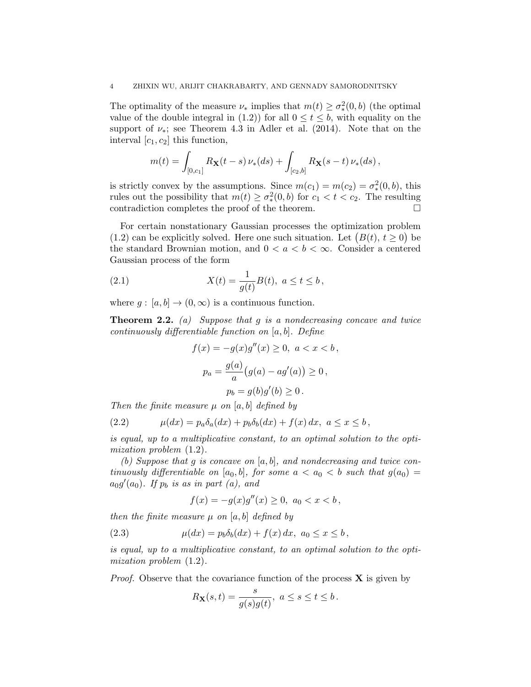The optimality of the measure  $\nu_*$  implies that  $m(t) \geq \sigma_*^2(0, b)$  (the optimal value of the double integral in (1.2)) for all  $0 \le t \le b$ , with equality on the support of  $\nu_*$ ; see Theorem 4.3 in Adler et al. (2014). Note that on the interval  $[c_1, c_2]$  this function,

$$
m(t) = \int_{[0,c_1]} R_{\mathbf{X}}(t-s) \, \nu_*(ds) + \int_{[c_2,b]} R_{\mathbf{X}}(s-t) \, \nu_*(ds),
$$

is strictly convex by the assumptions. Since  $m(c_1) = m(c_2) = \sigma_*^2(0, b)$ , this rules out the possibility that  $m(t) \geq \sigma_*^2(0, b)$  for  $c_1 < t < c_2$ . The resulting contradiction completes the proof of the theorem.

For certain nonstationary Gaussian processes the optimization problem (1.2) can be explicitly solved. Here one such situation. Let  $(B(t), t \ge 0)$  be the standard Brownian motion, and  $0 < a < b < \infty$ . Consider a centered Gaussian process of the form

(2.1) 
$$
X(t) = \frac{1}{g(t)}B(t), \ a \le t \le b,
$$

where  $g : [a, b] \to (0, \infty)$  is a continuous function.

**Theorem 2.2.** (a) Suppose that q is a nondecreasing concave and twice continuously differentiable function on  $[a, b]$ . Define

$$
f(x) = -g(x)g''(x) \ge 0, \ a < x < b,
$$
  

$$
p_a = \frac{g(a)}{a}(g(a) - ag'(a)) \ge 0,
$$
  

$$
p_b = g(b)g'(b) \ge 0.
$$

Then the finite measure  $\mu$  on [a, b] defined by

(2.2) 
$$
\mu(dx) = p_a \delta_a(dx) + p_b \delta_b(dx) + f(x) dx, \ a \le x \le b,
$$

is equal, up to a multiplicative constant, to an optimal solution to the optimization problem (1.2).

(b) Suppose that g is concave on  $[a, b]$ , and nondecreasing and twice continuously differentiable on [a<sub>0</sub>, b], for some  $a < a_0 < b$  such that  $g(a_0) =$  $a_0g'(a_0)$ . If  $p_b$  is as in part (a), and

$$
f(x) = -g(x)g''(x) \ge 0, \ a_0 < x < b \,,
$$

then the finite measure  $\mu$  on [a, b] defined by

(2.3) 
$$
\mu(dx) = p_b \delta_b(dx) + f(x) dx, \ a_0 \le x \le b,
$$

is equal, up to a multiplicative constant, to an optimal solution to the optimization problem (1.2).

*Proof.* Observe that the covariance function of the process  $\bf{X}$  is given by

$$
R_{\mathbf{X}}(s,t)=\frac{s}{g(s)g(t)},\ a\leq s\leq t\leq b\,.
$$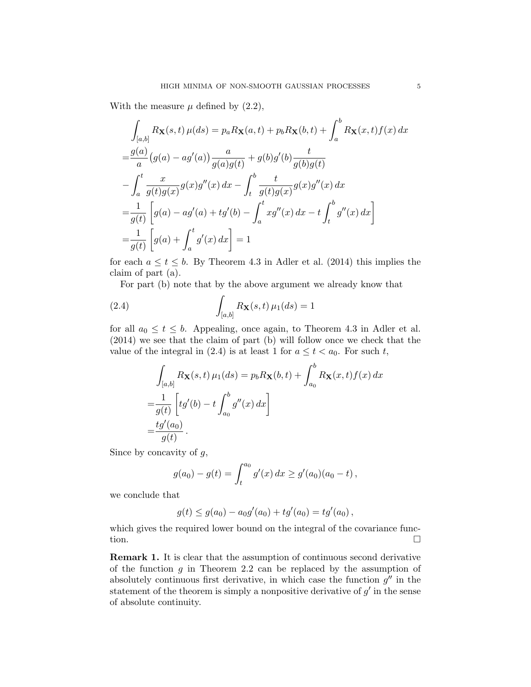With the measure  $\mu$  defined by  $(2.2)$ ,

$$
\int_{[a,b]} R_{\mathbf{X}}(s,t) \,\mu(ds) = p_a R_{\mathbf{X}}(a,t) + p_b R_{\mathbf{X}}(b,t) + \int_a^b R_{\mathbf{X}}(x,t) f(x) \, dx
$$
  
\n
$$
= \frac{g(a)}{a} (g(a) - ag'(a)) \frac{a}{g(a)g(t)} + g(b)g'(b) \frac{t}{g(b)g(t)}
$$
  
\n
$$
- \int_a^t \frac{x}{g(t)g(x)} g(x)g''(x) \, dx - \int_t^b \frac{t}{g(t)g(x)} g(x)g''(x) \, dx
$$
  
\n
$$
= \frac{1}{g(t)} \left[ g(a) - ag'(a) + tg'(b) - \int_a^t xg''(x) \, dx - t \int_t^b g''(x) \, dx \right]
$$
  
\n
$$
= \frac{1}{g(t)} \left[ g(a) + \int_a^t g'(x) \, dx \right] = 1
$$

for each  $a \le t \le b$ . By Theorem 4.3 in Adler et al. (2014) this implies the claim of part (a).

For part (b) note that by the above argument we already know that

(2.4) 
$$
\int_{[a,b]} R_{\mathbf{X}}(s,t) \,\mu_1(ds) = 1
$$

for all  $a_0 \le t \le b$ . Appealing, once again, to Theorem 4.3 in Adler et al. (2014) we see that the claim of part (b) will follow once we check that the value of the integral in (2.4) is at least 1 for  $a \leq t < a_0$ . For such t,

$$
\int_{[a,b]} R_{\mathbf{X}}(s,t) \mu_1(ds) = p_b R_{\mathbf{X}}(b,t) + \int_{a_0}^b R_{\mathbf{X}}(x,t) f(x) dx
$$

$$
= \frac{1}{g(t)} \left[ t g'(b) - t \int_{a_0}^b g''(x) dx \right]
$$

$$
= \frac{t g'(a_0)}{g(t)}.
$$

Since by concavity of  $g$ ,

$$
g(a_0) - g(t) = \int_t^{a_0} g'(x) dx \ge g'(a_0)(a_0 - t),
$$

we conclude that

$$
g(t) \le g(a_0) - a_0g'(a_0) + tg'(a_0) = tg'(a_0),
$$

which gives the required lower bound on the integral of the covariance function.

Remark 1. It is clear that the assumption of continuous second derivative of the function  $g$  in Theorem 2.2 can be replaced by the assumption of absolutely continuous first derivative, in which case the function  $g''$  in the statement of the theorem is simply a nonpositive derivative of  $g'$  in the sense of absolute continuity.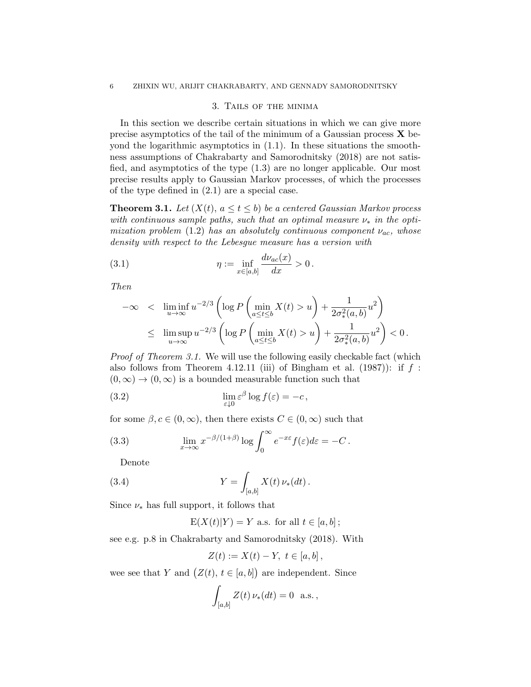## 3. Tails of the minima

In this section we describe certain situations in which we can give more precise asymptotics of the tail of the minimum of a Gaussian process  $\bf{X}$  beyond the logarithmic asymptotics in  $(1.1)$ . In these situations the smoothness assumptions of Chakrabarty and Samorodnitsky (2018) are not satisfied, and asymptotics of the type (1.3) are no longer applicable. Our most precise results apply to Gaussian Markov processes, of which the processes of the type defined in (2.1) are a special case.

**Theorem 3.1.** Let  $(X(t), a \le t \le b)$  be a centered Gaussian Markov process with continuous sample paths, such that an optimal measure  $\nu_*$  in the optimization problem (1.2) has an absolutely continuous component  $\nu_{ac}$ , whose density with respect to the Lebesgue measure has a version with

(3.1) 
$$
\eta := \inf_{x \in [a,b]} \frac{d\nu_{ac}(x)}{dx} > 0.
$$

Then

$$
-\infty < \liminf_{u \to \infty} u^{-2/3} \left( \log P \left( \min_{a \le t \le b} X(t) > u \right) + \frac{1}{2\sigma_*^2(a, b)} u^2 \right)
$$
  

$$
\le \limsup_{u \to \infty} u^{-2/3} \left( \log P \left( \min_{a \le t \le b} X(t) > u \right) + \frac{1}{2\sigma_*^2(a, b)} u^2 \right) < 0.
$$

Proof of Theorem 3.1. We will use the following easily checkable fact (which also follows from Theorem 4.12.11 (iii) of Bingham et al. (1987)): if  $f$ :  $(0, \infty) \rightarrow (0, \infty)$  is a bounded measurable function such that

(3.2) 
$$
\lim_{\varepsilon \downarrow 0} \varepsilon^{\beta} \log f(\varepsilon) = -c,
$$

for some  $\beta, c \in (0, \infty)$ , then there exists  $C \in (0, \infty)$  such that

(3.3) 
$$
\lim_{x \to \infty} x^{-\beta/(1+\beta)} \log \int_0^\infty e^{-x\varepsilon} f(\varepsilon) d\varepsilon = -C.
$$

Denote

(3.4) 
$$
Y = \int_{[a,b]} X(t) \, \nu_*(dt).
$$

Since  $\nu_*$  has full support, it follows that

$$
E(X(t)|Y) = Y
$$
 a.s. for all  $t \in [a, b]$ ;

see e.g. p.8 in Chakrabarty and Samorodnitsky (2018). With

$$
Z(t) := X(t) - Y, \ t \in [a, b],
$$

wee see that Y and  $(Z(t), t \in [a, b])$  are independent. Since

$$
\int_{[a,b]} Z(t) \, \nu_*(dt) = 0 \text{ a.s.},
$$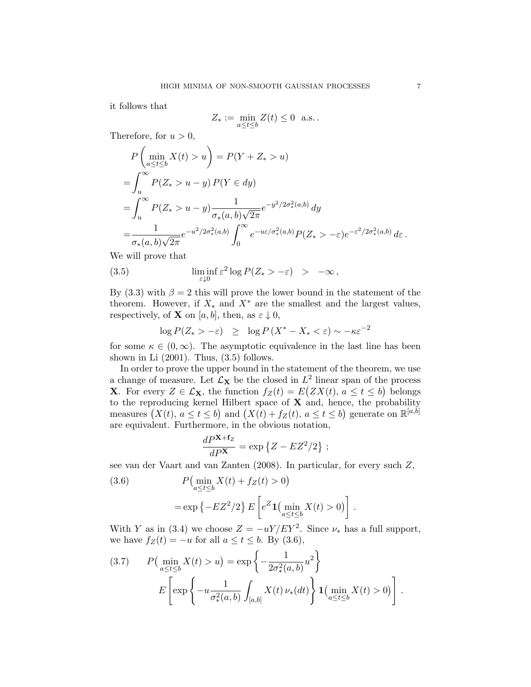it follows that

$$
Z_* := \min_{a \le t \le b} Z(t) \le 0 \text{ a.s.}.
$$

Therefore, for  $u > 0$ ,

$$
P\left(\min_{a\leq t\leq b} X(t) > u\right) = P(Y + Z_* > u)
$$
  
= 
$$
\int_u^\infty P(Z_* > u - y) P(Y \in dy)
$$
  
= 
$$
\int_u^\infty P(Z_* > u - y) \frac{1}{\sigma_*(a, b)\sqrt{2\pi}} e^{-y^2/2\sigma_*^2(a, b)} dy
$$
  
= 
$$
\frac{1}{\sigma_*(a, b)\sqrt{2\pi}} e^{-u^2/2\sigma_*^2(a, b)} \int_0^\infty e^{-u\varepsilon/\sigma_*^2(a, b)} P(Z_* > -\varepsilon) e^{-\varepsilon^2/2\sigma_*^2(a, b)} d\varepsilon.
$$

We will prove that

(3.5) 
$$
\liminf_{\varepsilon \downarrow 0} \varepsilon^2 \log P(Z_* > -\varepsilon) > -\infty,
$$

By (3.3) with  $\beta = 2$  this will prove the lower bound in the statement of the theorem. However, if  $X_*$  and  $X^*$  are the smallest and the largest values, respectively, of **X** on [a, b], then, as  $\varepsilon \downarrow 0$ ,

$$
\log P(Z_{*} > -\varepsilon) \geq \log P(X^{*} - X_{*} < \varepsilon) \sim -\kappa \varepsilon^{-2}
$$

for some  $\kappa \in (0,\infty)$ . The asymptotic equivalence in the last line has been shown in Li (2001). Thus, (3.5) follows.

In order to prove the upper bound in the statement of the theorem, we use a change of measure. Let  $\mathcal{L}_X$  be the closed in  $L^2$  linear span of the process **X**. For every  $Z \in \mathcal{L}_X$ , the function  $f_Z(t) = E(ZX(t), a \le t \le b)$  belongs to the reproducing kernel Hilbert space of  $X$  and, hence, the probability measures  $(X(t), a \le t \le b)$  and  $(X(t) + f_Z(t), a \le t \le b)$  generate on  $\mathbb{R}^{[a,b]}$ are equivalent. Furthermore, in the obvious notation,

$$
\frac{dP^{\mathbf{X}+\mathbf{f}_Z}}{dP^{\mathbf{X}}} = \exp\left\{Z - EZ^2/2\right\};
$$

see van der Vaart and van Zanten (2008). In particular, for every such Z,

(3.6) 
$$
P\left(\min_{a \le t \le b} X(t) + f_Z(t) > 0\right)
$$

$$
= \exp\left\{-EZ^2/2\right\} E\left[e^Z \mathbf{1}\left(\min_{a \le t \le b} X(t) > 0\right)\right].
$$

With Y as in (3.4) we choose  $Z = -uY/ EY^2$ . Since  $\nu_*$  has a full support, we have  $f_Z(t) = -u$  for all  $a \le t \le b$ . By (3.6),

(3.7) 
$$
P\left(\min_{a \le t \le b} X(t) > u\right) = \exp\left\{-\frac{1}{2\sigma_*^2(a,b)}u^2\right\}
$$

$$
E\left[\exp\left\{-u\frac{1}{\sigma_*^2(a,b)}\int_{[a,b]} X(t)\nu_*(dt)\right\}\mathbf{1}\left(\min_{a \le t \le b} X(t) > 0\right)\right].
$$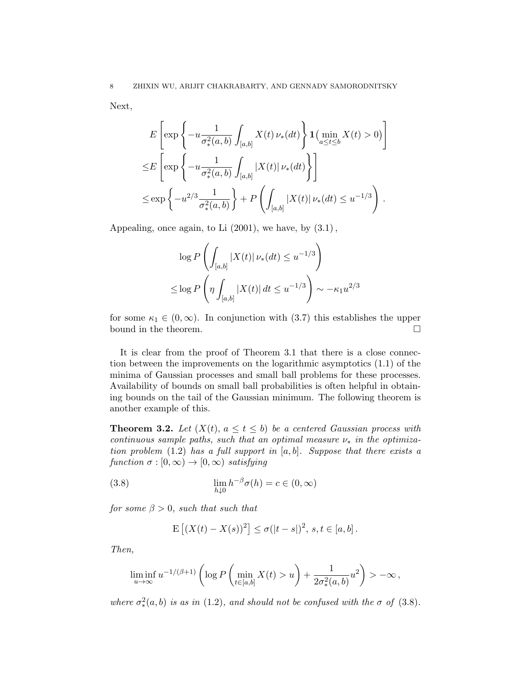Next,

$$
E\left[\exp\left\{-u\frac{1}{\sigma_*^2(a,b)}\int_{[a,b]}X(t)\,\nu_*(dt)\right\}\mathbf{1}\left(\min_{a\leq t\leq b}X(t)>0\right)\right]
$$
  

$$
\leq E\left[\exp\left\{-u\frac{1}{\sigma_*^2(a,b)}\int_{[a,b]}|X(t)|\,\nu_*(dt)\right\}\right]
$$
  

$$
\leq \exp\left\{-u^{2/3}\frac{1}{\sigma_*^2(a,b)}\right\} + P\left(\int_{[a,b]}|X(t)|\,\nu_*(dt)\leq u^{-1/3}\right).
$$

Appealing, once again, to Li  $(2001)$ , we have, by  $(3.1)$ ,

$$
\log P\left(\int_{[a,b]} |X(t)| \nu_*(dt) \le u^{-1/3}\right)
$$
  

$$
\le \log P\left(\eta \int_{[a,b]} |X(t)| dt \le u^{-1/3}\right) \sim -\kappa_1 u^{2/3}
$$

for some  $\kappa_1 \in (0,\infty)$ . In conjunction with (3.7) this establishes the upper bound in the theorem.  $\hfill \square$ 

It is clear from the proof of Theorem 3.1 that there is a close connection between the improvements on the logarithmic asymptotics (1.1) of the minima of Gaussian processes and small ball problems for these processes. Availability of bounds on small ball probabilities is often helpful in obtaining bounds on the tail of the Gaussian minimum. The following theorem is another example of this.

**Theorem 3.2.** Let  $(X(t), a \le t \le b)$  be a centered Gaussian process with continuous sample paths, such that an optimal measure  $\nu_*$  in the optimization problem  $(1.2)$  has a full support in  $[a, b]$ . Suppose that there exists a function  $\sigma : [0, \infty) \to [0, \infty)$  satisfying

(3.8) 
$$
\lim_{h \downarrow 0} h^{-\beta} \sigma(h) = c \in (0, \infty)
$$

for some  $\beta > 0$ , such that such that

$$
\mathbf{E} [(X(t) - X(s))^2] \le \sigma(|t - s|)^2, \, s, t \in [a, b].
$$

Then,

$$
\liminf_{u\to\infty} u^{-1/(\beta+1)}\left(\log P\left(\min_{t\in[a,b]} X(t) > u\right) + \frac{1}{2\sigma^2_*(a,b)}u^2\right) > -\infty,
$$

where  $\sigma_*^2(a, b)$  is as in (1.2), and should not be confused with the  $\sigma$  of (3.8).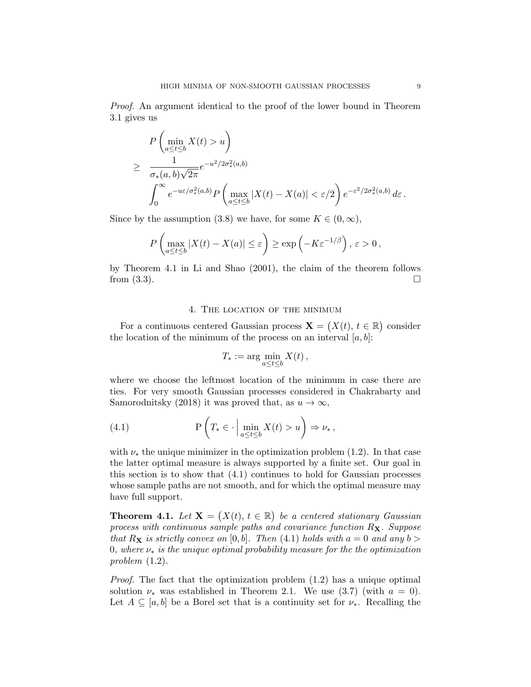Proof. An argument identical to the proof of the lower bound in Theorem 3.1 gives us

$$
P\left(\min_{a\leq t\leq b} X(t) > u\right)
$$
  
\n
$$
\geq \frac{1}{\sigma_*(a,b)\sqrt{2\pi}} e^{-u^2/2\sigma_*^2(a,b)}
$$
  
\n
$$
\int_0^\infty e^{-u\varepsilon/\sigma_*^2(a,b)} P\left(\max_{a\leq t\leq b} |X(t) - X(a)| < \varepsilon/2\right) e^{-\varepsilon^2/2\sigma_*^2(a,b)} d\varepsilon.
$$

Since by the assumption (3.8) we have, for some  $K \in (0, \infty)$ ,

$$
P\left(\max_{a\leq t\leq b}|X(t)-X(a)|\leq \varepsilon\right)\geq \exp\left(-K\varepsilon^{-1/\beta}\right), \varepsilon>0,
$$

by Theorem 4.1 in Li and Shao (2001), the claim of the theorem follows from  $(3.3)$ .

## 4. The location of the minimum

For a continuous centered Gaussian process  $\mathbf{X} = (X(t), t \in \mathbb{R})$  consider the location of the minimum of the process on an interval  $[a, b]$ :

$$
T_* := \arg\min_{a \le t \le b} X(t) ,
$$

where we choose the leftmost location of the minimum in case there are ties. For very smooth Gaussian processes considered in Chakrabarty and Samorodnitsky (2018) it was proved that, as  $u \to \infty$ ,

(4.1) 
$$
\mathbf{P}\left(T_* \in \cdot \Big| \min_{a \le t \le b} X(t) > u\right) \Rightarrow \nu_* ,
$$

with  $\nu_*$  the unique minimizer in the optimization problem (1.2). In that case the latter optimal measure is always supported by a finite set. Our goal in this section is to show that (4.1) continues to hold for Gaussian processes whose sample paths are not smooth, and for which the optimal measure may have full support.

**Theorem 4.1.** Let  $X = (X(t), t \in \mathbb{R})$  be a centered stationary Gaussian process with continuous sample paths and covariance function  $R_{\mathbf{X}}$ . Suppose that  $R_X$  is strictly convex on [0, b]. Then (4.1) holds with  $a = 0$  and any  $b >$ 0, where  $\nu_*$  is the unique optimal probability measure for the the optimization problem (1.2).

Proof. The fact that the optimization problem (1.2) has a unique optimal solution  $\nu_*$  was established in Theorem 2.1. We use (3.7) (with  $a = 0$ ). Let  $A \subseteq [a, b]$  be a Borel set that is a continuity set for  $\nu_*$ . Recalling the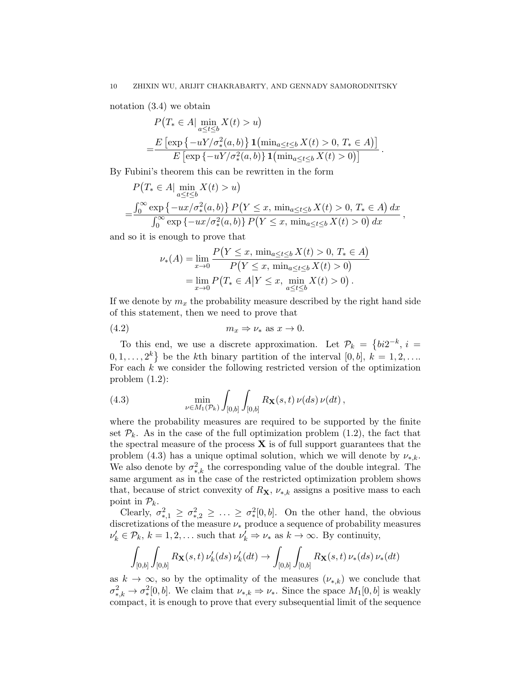notation (3.4) we obtain

$$
P(T_{*} \in A | \min_{a \le t \le b} X(t) > u)
$$
  
= 
$$
\frac{E [\exp \{-uY/\sigma_{*}^{2}(a, b)\} \mathbf{1}(\min_{a \le t \le b} X(t) > 0, T_{*} \in A)]}{E [\exp \{-uY/\sigma_{*}^{2}(a, b)\} \mathbf{1}(\min_{a \le t \le b} X(t) > 0)]}.
$$

By Fubini's theorem this can be rewritten in the form

$$
P(T_* \in A | \min_{a \le t \le b} X(t) > u)
$$
  
= 
$$
\frac{\int_0^\infty \exp \{-ux/\sigma_*^2(a, b)\} P(Y \le x, \min_{a \le t \le b} X(t) > 0, T_* \in A) dx}{\int_0^\infty \exp \{-ux/\sigma_*^2(a, b)\} P(Y \le x, \min_{a \le t \le b} X(t) > 0) dx},
$$

and so it is enough to prove that

$$
\nu_*(A) = \lim_{x \to 0} \frac{P(Y \le x, \min_{a \le t \le b} X(t) > 0, T_* \in A)}{P(Y \le x, \min_{a \le t \le b} X(t) > 0)}
$$
  
= 
$$
\lim_{x \to 0} P(T_* \in A | Y \le x, \min_{a \le t \le b} X(t) > 0).
$$

If we denote by  $m_x$  the probability measure described by the right hand side of this statement, then we need to prove that

$$
(4.2) \t m_x \Rightarrow \nu_* \text{ as } x \to 0.
$$

To this end, we use a discrete approximation. Let  $\mathcal{P}_k = \{bi2^{-k}, i =$  $[0, 1, \ldots, 2^k]$  be the k<sup>th</sup> binary partition of the interval  $[0, b]$ ,  $k = 1, 2, \ldots$ For each  $k$  we consider the following restricted version of the optimization problem (1.2):

(4.3) 
$$
\min_{\nu \in M_1(\mathcal{P}_k)} \int_{[0,b]} \int_{[0,b]} R_{\mathbf{X}}(s,t) \, \nu(ds) \, \nu(dt),
$$

where the probability measures are required to be supported by the finite set  $\mathcal{P}_k$ . As in the case of the full optimization problem (1.2), the fact that the spectral measure of the process  $\bf{X}$  is of full support guarantees that the problem (4.3) has a unique optimal solution, which we will denote by  $\nu_{*,k}$ . We also denote by  $\sigma_{*,k}^2$  the corresponding value of the double integral. The same argument as in the case of the restricted optimization problem shows that, because of strict convexity of  $R_{\mathbf{X}}, \nu_{*,k}$  assigns a positive mass to each point in  $\mathcal{P}_k$ .

Clearly,  $\sigma_{*,1}^2 \geq \sigma_{*,2}^2 \geq \ldots \geq \sigma_{*}^2[0,b]$ . On the other hand, the obvious discretizations of the measure  $\nu_*$  produce a sequence of probability measures  $\nu'_k \in \mathcal{P}_k$ ,  $k = 1, 2, \dots$  such that  $\nu'_k \Rightarrow \nu_*$  as  $k \to \infty$ . By continuity,

$$
\int_{[0,b]} \int_{[0,b]} R_{\mathbf{X}}(s,t) \, \nu'_k(ds) \, \nu'_k(dt) \to \int_{[0,b]} \int_{[0,b]} R_{\mathbf{X}}(s,t) \, \nu_*(ds) \, \nu_*(dt)
$$

as  $k \to \infty$ , so by the optimality of the measures  $(\nu_{*,k})$  we conclude that  $\sigma_{*,k}^2 \to \sigma_*^2[0, b]$ . We claim that  $\nu_{*,k} \Rightarrow \nu_*$ . Since the space  $M_1[0, b]$  is weakly compact, it is enough to prove that every subsequential limit of the sequence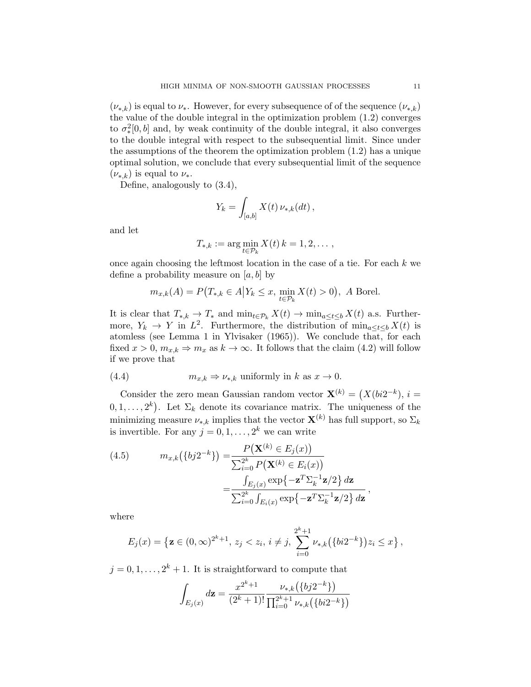$(\nu_{*,k})$  is equal to  $\nu_{*}$ . However, for every subsequence of of the sequence  $(\nu_{*,k})$ the value of the double integral in the optimization problem (1.2) converges to  $\sigma_*^2[0,b]$  and, by weak continuity of the double integral, it also converges to the double integral with respect to the subsequential limit. Since under the assumptions of the theorem the optimization problem (1.2) has a unique optimal solution, we conclude that every subsequential limit of the sequence  $(\nu_{*,k})$  is equal to  $\nu_{*}$ .

Define, analogously to (3.4),

$$
Y_k = \int_{[a,b]} X(t) \, \nu_{*,k}(dt) \,,
$$

and let

$$
T_{*,k} := \arg\min_{t \in \mathcal{P}_k} X(t) \, k = 1, 2, \dots,
$$

once again choosing the leftmost location in the case of a tie. For each  $k$  we define a probability measure on  $[a, b]$  by

$$
m_{x,k}(A) = P\big(T_{*,k} \in A \big| Y_k \le x, \min_{t \in \mathcal{P}_k} X(t) > 0\big), A
$$
 Borel.

It is clear that  $T_{*,k} \to T_*$  and  $\min_{t \in \mathcal{P}_k} X(t) \to \min_{a \le t \le b} X(t)$  a.s. Furthermore,  $Y_k \to Y$  in  $L^2$ . Furthermore, the distribution of  $\min_{a \le t \le b} X(t)$  is atomless (see Lemma 1 in Ylvisaker (1965)). We conclude that, for each fixed  $x > 0$ ,  $m_{x,k} \Rightarrow m_x$  as  $k \to \infty$ . It follows that the claim (4.2) will follow if we prove that

(4.4) 
$$
m_{x,k} \Rightarrow \nu_{*,k} \text{ uniformly in } k \text{ as } x \to 0.
$$

Consider the zero mean Gaussian random vector  $\mathbf{X}^{(k)} = (X(bi2^{-k}), i =$  $(0, 1, \ldots, 2^k)$ . Let  $\Sigma_k$  denote its covariance matrix. The uniqueness of the minimizing measure  $\nu_{*,k}$  implies that the vector  $\mathbf{X}^{(k)}$  has full support, so  $\Sigma_k$ is invertible. For any  $j = 0, 1, \ldots, 2^k$  we can write

(4.5) 
$$
m_{x,k}(\lbrace bj2^{-k}\rbrace) = \frac{P(\mathbf{X}^{(k)} \in E_j(x))}{\sum_{i=0}^{2^k} P(\mathbf{X}^{(k)} \in E_i(x))}
$$

$$
= \frac{\int_{E_j(x)} \exp\{-\mathbf{z}^T \sum_{k=0}^{-1} \mathbf{z}/2\} d\mathbf{z}}{\sum_{i=0}^{2^k} \int_{E_i(x)} \exp\{-\mathbf{z}^T \sum_{k=0}^{-1} \mathbf{z}/2\} d\mathbf{z}}
$$

where

$$
E_j(x) = \left\{ \mathbf{z} \in (0, \infty)^{2^k+1}, \, z_j < z_i, \, i \neq j, \, \sum_{i=0}^{2^k+1} \nu_{*,k}(\{bi2^{-k}\}) z_i \leq x \right\},
$$

,

 $j = 0, 1, \ldots, 2<sup>k</sup> + 1$ . It is straightforward to compute that

$$
\int_{E_j(x)} d\mathbf{z} = \frac{x^{2^k+1}}{(2^k+1)!} \frac{\nu_{*,k}(\lbrace bj2^{-k} \rbrace)}{\prod_{i=0}^{2^k+1} \nu_{*,k}(\lbrace bi2^{-k} \rbrace)}
$$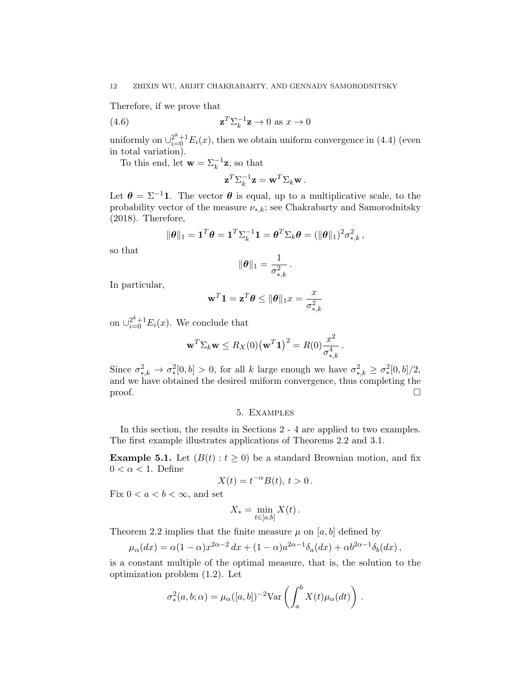Therefore, if we prove that

(4.6) 
$$
\mathbf{z}^T \Sigma_k^{-1} \mathbf{z} \to 0 \text{ as } x \to 0
$$

uniformly on  $\bigcup_{i=0}^{2^k+1} E_i(x)$ , then we obtain uniform convergence in (4.4) (even in total variation).

To this end, let  $\mathbf{w} = \sum_{k=1}^{-1} \mathbf{z}$ , so that

$$
\mathbf{z}^T \Sigma_k^{-1} \mathbf{z} = \mathbf{w}^T \Sigma_k \mathbf{w}.
$$

Let  $\theta = \Sigma^{-1}1$ . The vector  $\theta$  is equal, up to a multiplicative scale, to the probability vector of the measure  $\nu_{*,k}$ ; see Chakrabarty and Samorodnitsky (2018). Therefore,

$$
\|\boldsymbol{\theta}\|_1 = \mathbf{1}^T \boldsymbol{\theta} = \mathbf{1}^T \Sigma_k^{-1} \mathbf{1} = \boldsymbol{\theta}^T \Sigma_k \boldsymbol{\theta} = (\|\boldsymbol{\theta}\|_1)^2 \sigma_{*,k}^2,
$$

so that

$$
\|\boldsymbol{\theta}\|_1 = \frac{1}{\sigma_{*,k}^2}.
$$

In particular,

$$
\mathbf{w}^T \mathbf{1} = \mathbf{z}^T \boldsymbol{\theta} \le \|\boldsymbol{\theta}\|_1 x = \frac{x}{\sigma_{*,k}^2}
$$

on  $\cup_{i=0}^{2^k+1} E_i(x)$ . We conclude that

$$
\mathbf{w}^T \Sigma_k \mathbf{w} \le R_X(0) (\mathbf{w}^T \mathbf{1})^2 = R(0) \frac{x^2}{\sigma_{*,k}^4}.
$$

Since  $\sigma_{*,k}^2 \to \sigma_*^2[0,b] > 0$ , for all k large enough we have  $\sigma_{*,k}^2 \geq \sigma_*^2[0,b]/2$ , and we have obtained the desired uniform convergence, thus completing the  $\Box$ 

### 5. Examples

In this section, the results in Sections 2 - 4 are applied to two examples. The first example illustrates applications of Theorems 2.2 and 3.1.

**Example 5.1.** Let  $(B(t): t \ge 0)$  be a standard Brownian motion, and fix  $0 < \alpha < 1$ . Define

$$
X(t) = t^{-\alpha} B(t), \, t > 0 \, .
$$

Fix  $0 < a < b < \infty$ , and set

$$
X_* = \min_{t \in [a,b]} X(t).
$$

Theorem 2.2 implies that the finite measure  $\mu$  on [a, b] defined by

$$
\mu_{\alpha}(dx) = \alpha (1 - \alpha) x^{2\alpha - 2} dx + (1 - \alpha) a^{2\alpha - 1} \delta_a(dx) + \alpha b^{2\alpha - 1} \delta_b(dx),
$$

is a constant multiple of the optimal measure, that is, the solution to the optimization problem (1.2). Let

$$
\sigma_*^2(a,b;\alpha) = \mu_\alpha([a,b])^{-2} \text{Var}\left(\int_a^b X(t)\mu_\alpha(dt)\right).
$$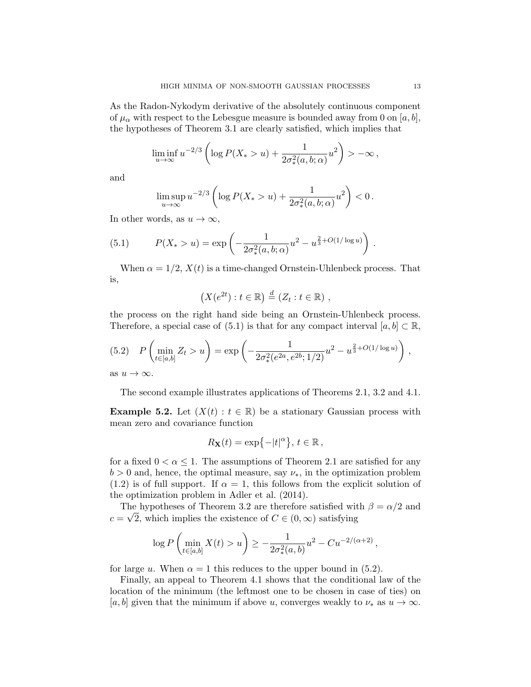As the Radon-Nykodym derivative of the absolutely continuous component of  $\mu_{\alpha}$  with respect to the Lebesgue measure is bounded away from 0 on [a, b], the hypotheses of Theorem 3.1 are clearly satisfied, which implies that

$$
\liminf_{u \to \infty} u^{-2/3} \left( \log P(X_*) u) + \frac{1}{2\sigma_*^2(a, b; \alpha)} u^2 \right) > -\infty,
$$

and

$$
\limsup_{u \to \infty} u^{-2/3} \left( \log P(X_{*} > u) + \frac{1}{2\sigma_{*}^{2}(a, b; \alpha)} u^{2} \right) < 0.
$$

In other words, as  $u \to \infty$ ,

(5.1) 
$$
P(X_*) u) = \exp\left(-\frac{1}{2\sigma_*^2(a,b;\alpha)}u^2 - u^{\frac{2}{3} + O(1/\log u)}\right).
$$

When  $\alpha = 1/2$ ,  $X(t)$  is a time-changed Ornstein-Uhlenbeck process. That is,

$$
(X(e^{2t}): t \in \mathbb{R}) \stackrel{d}{=} (Z_t : t \in \mathbb{R}) ,
$$

the process on the right hand side being an Ornstein-Uhlenbeck process. Therefore, a special case of (5.1) is that for any compact interval  $[a, b] \subset \mathbb{R}$ ,

$$
(5.2) \quad P\left(\min_{t \in [a,b]} Z_t > u\right) = \exp\left(-\frac{1}{2\sigma_*^2(e^{2a}, e^{2b}; 1/2)}u^2 - u^{\frac{2}{3} + O(1/\log u)}\right),
$$

as  $u \to \infty$ .

The second example illustrates applications of Theorems 2.1, 3.2 and 4.1.

**Example 5.2.** Let  $(X(t): t \in \mathbb{R})$  be a stationary Gaussian process with mean zero and covariance function

$$
R_{\mathbf{X}}(t) = \exp\{-|t|^{\alpha}\}, t \in \mathbb{R},
$$

for a fixed  $0 < \alpha \leq 1$ . The assumptions of Theorem 2.1 are satisfied for any  $b > 0$  and, hence, the optimal measure, say  $\nu_*$ , in the optimization problem  $(1.2)$  is of full support. If  $\alpha = 1$ , this follows from the explicit solution of the optimization problem in Adler et al. (2014).

The hypotheses of Theorem 3.2 are therefore satisfied with  $\beta = \alpha/2$  and  $c = \sqrt{2}$ , which implies the existence of  $C \in (0, \infty)$  satisfying

$$
\log P\left(\min_{t \in [a,b]} X(t) > u\right) \ge -\frac{1}{2\sigma_*^2(a,b)}u^2 - Cu^{-2/(\alpha+2)},
$$

for large u. When  $\alpha = 1$  this reduces to the upper bound in (5.2).

Finally, an appeal to Theorem 4.1 shows that the conditional law of the location of the minimum (the leftmost one to be chosen in case of ties) on [a, b] given that the minimum if above u, converges weakly to  $\nu_*$  as  $u \to \infty$ .